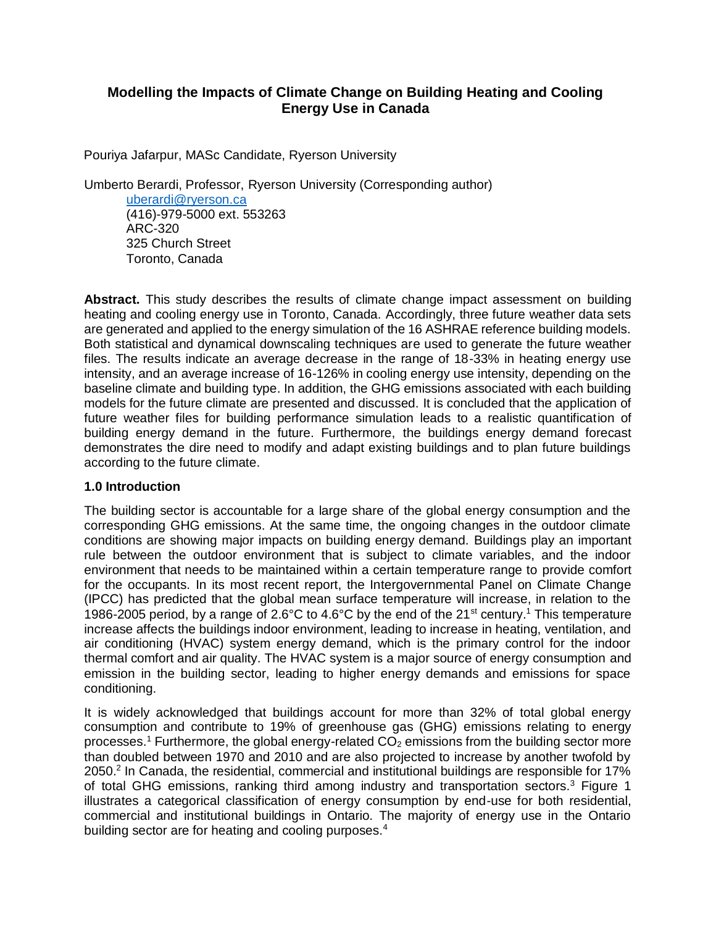# **Modelling the Impacts of Climate Change on Building Heating and Cooling Energy Use in Canada**

Pouriya Jafarpur, MASc Candidate, Ryerson University

Umberto Berardi, Professor, Ryerson University (Corresponding author)

[uberardi@ryerson.ca](mailto:uberardi@ryerson.ca) (416)-979-5000 ext. 553263 ARC-320 325 Church Street Toronto, Canada

Abstract. This study describes the results of climate change impact assessment on building heating and cooling energy use in Toronto, Canada. Accordingly, three future weather data sets are generated and applied to the energy simulation of the 16 ASHRAE reference building models. Both statistical and dynamical downscaling techniques are used to generate the future weather files. The results indicate an average decrease in the range of 18-33% in heating energy use intensity, and an average increase of 16-126% in cooling energy use intensity, depending on the baseline climate and building type. In addition, the GHG emissions associated with each building models for the future climate are presented and discussed. It is concluded that the application of future weather files for building performance simulation leads to a realistic quantification of building energy demand in the future. Furthermore, the buildings energy demand forecast demonstrates the dire need to modify and adapt existing buildings and to plan future buildings according to the future climate.

# **1.0 Introduction**

The building sector is accountable for a large share of the global energy consumption and the corresponding GHG emissions. At the same time, the ongoing changes in the outdoor climate conditions are showing major impacts on building energy demand. Buildings play an important rule between the outdoor environment that is subject to climate variables, and the indoor environment that needs to be maintained within a certain temperature range to provide comfort for the occupants. In its most recent report, the Intergovernmental Panel on Climate Change (IPCC) has predicted that the global mean surface temperature will increase, in relation to the 1986-2005 period, by a range of 2.6°C to 4.6°C by the end of the 21<sup>st</sup> century.<sup>1</sup> This temperature increase affects the buildings indoor environment, leading to increase in heating, ventilation, and air conditioning (HVAC) system energy demand, which is the primary control for the indoor thermal comfort and air quality. The HVAC system is a major source of energy consumption and emission in the building sector, leading to higher energy demands and emissions for space conditioning.

It is widely acknowledged that buildings account for more than 32% of total global energy consumption and contribute to 19% of greenhouse gas (GHG) emissions relating to energy processes.<sup>1</sup> Furthermore, the global energy-related  $CO<sub>2</sub>$  emissions from the building sector more than doubled between 1970 and 2010 and are also projected to increase by another twofold by 2050.<sup>2</sup> In Canada, the residential, commercial and institutional buildings are responsible for 17% of total GHG emissions, ranking third among industry and transportation sectors.<sup>3</sup> Figure 1 illustrates a categorical classification of energy consumption by end-use for both residential, commercial and institutional buildings in Ontario. The majority of energy use in the Ontario building sector are for heating and cooling purposes.<sup>4</sup>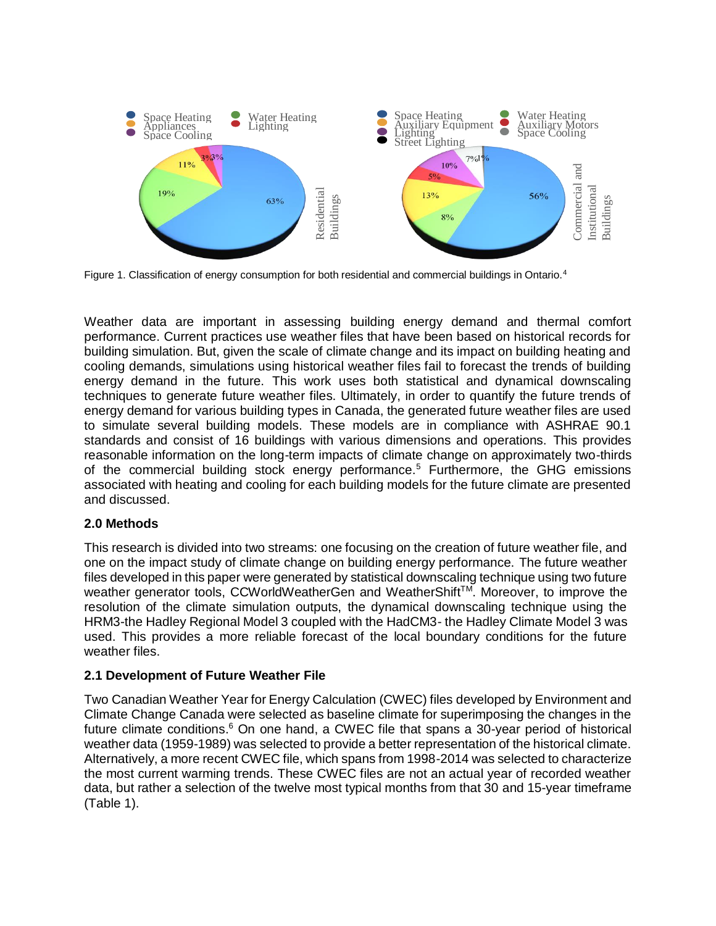

Figure 1. Classification of energy consumption for both residential and commercial buildings in Ontario.<sup>4</sup>

Weather data are important in assessing building energy demand and thermal comfort performance. Current practices use weather files that have been based on historical records for building simulation. But, given the scale of climate change and its impact on building heating and cooling demands, simulations using historical weather files fail to forecast the trends of building energy demand in the future. This work uses both statistical and dynamical downscaling techniques to generate future weather files. Ultimately, in order to quantify the future trends of energy demand for various building types in Canada, the generated future weather files are used to simulate several building models. These models are in compliance with ASHRAE 90.1 standards and consist of 16 buildings with various dimensions and operations. This provides reasonable information on the long-term impacts of climate change on approximately two-thirds of the commercial building stock energy performance.<sup>5</sup> Furthermore, the GHG emissions associated with heating and cooling for each building models for the future climate are presented and discussed.

### **2.0 Methods**

This research is divided into two streams: one focusing on the creation of future weather file, and one on the impact study of climate change on building energy performance. The future weather files developed in this paper were generated by statistical downscaling technique using two future weather generator tools, CCWorldWeatherGen and WeatherShift<sup>TM</sup>. Moreover, to improve the resolution of the climate simulation outputs, the dynamical downscaling technique using the HRM3-the Hadley Regional Model 3 coupled with the HadCM3- the Hadley Climate Model 3 was used. This provides a more reliable forecast of the local boundary conditions for the future weather files.

# **2.1 Development of Future Weather File**

Two Canadian Weather Year for Energy Calculation (CWEC) files developed by Environment and Climate Change Canada were selected as baseline climate for superimposing the changes in the future climate conditions.<sup>6</sup> On one hand, a CWEC file that spans a 30-year period of historical weather data (1959-1989) was selected to provide a better representation of the historical climate. Alternatively, a more recent CWEC file, which spans from 1998-2014 was selected to characterize the most current warming trends. These CWEC files are not an actual year of recorded weather data, but rather a selection of the twelve most typical months from that 30 and 15-year timeframe (Table 1).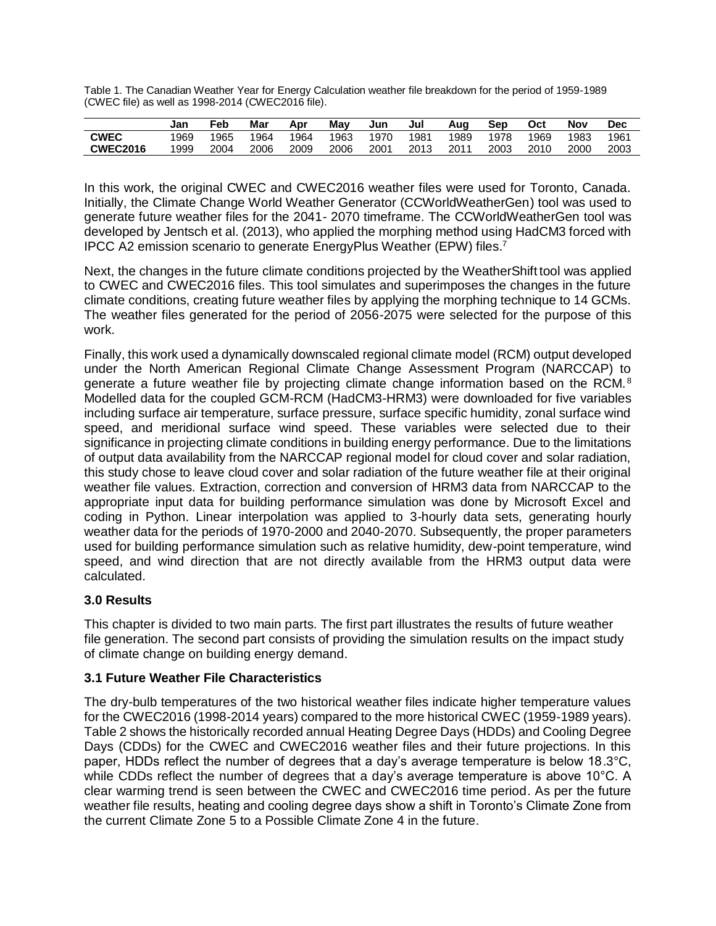Table 1. The Canadian Weather Year for Energy Calculation weather file breakdown for the period of 1959-1989 (CWEC file) as well as 1998-2014 (CWEC2016 file).

|                 | Jan  | Feb  | Mar  | Apr  | May  | Jun  | Jul  | Aug  | Sep  | Oct  | Nov  | Dec  |
|-----------------|------|------|------|------|------|------|------|------|------|------|------|------|
| <b>CWEC</b>     | 1969 | 1965 | 1964 | 1964 | 1963 | 1970 | 1981 | 1989 | 1978 | 1969 | 1983 | 196' |
| <b>CWEC2016</b> | 1999 | 2004 | 2006 | 2009 | 2006 | 2001 | 2013 | 2011 | 2003 | 2010 | 2000 | 2003 |

In this work, the original CWEC and CWEC2016 weather files were used for Toronto, Canada. Initially, the Climate Change World Weather Generator (CCWorldWeatherGen) tool was used to generate future weather files for the 2041- 2070 timeframe. The CCWorldWeatherGen tool was developed by Jentsch et al. (2013), who applied the morphing method using HadCM3 forced with IPCC A2 emission scenario to generate EnergyPlus Weather (EPW) files.<sup>7</sup>

Next, the changes in the future climate conditions projected by the WeatherShift tool was applied to CWEC and CWEC2016 files. This tool simulates and superimposes the changes in the future climate conditions, creating future weather files by applying the morphing technique to 14 GCMs. The weather files generated for the period of 2056-2075 were selected for the purpose of this work.

Finally, this work used a dynamically downscaled regional climate model (RCM) output developed under the North American Regional Climate Change Assessment Program (NARCCAP) to generate a future weather file by projecting climate change information based on the RCM.<sup>8</sup> Modelled data for the coupled GCM-RCM (HadCM3-HRM3) were downloaded for five variables including surface air temperature, surface pressure, surface specific humidity, zonal surface wind speed, and meridional surface wind speed. These variables were selected due to their significance in projecting climate conditions in building energy performance. Due to the limitations of output data availability from the NARCCAP regional model for cloud cover and solar radiation, this study chose to leave cloud cover and solar radiation of the future weather file at their original weather file values. Extraction, correction and conversion of HRM3 data from NARCCAP to the appropriate input data for building performance simulation was done by Microsoft Excel and coding in Python. Linear interpolation was applied to 3-hourly data sets, generating hourly weather data for the periods of 1970-2000 and 2040-2070. Subsequently, the proper parameters used for building performance simulation such as relative humidity, dew-point temperature, wind speed, and wind direction that are not directly available from the HRM3 output data were calculated.

# **3.0 Results**

This chapter is divided to two main parts. The first part illustrates the results of future weather file generation. The second part consists of providing the simulation results on the impact study of climate change on building energy demand.

# **3.1 Future Weather File Characteristics**

The dry-bulb temperatures of the two historical weather files indicate higher temperature values for the CWEC2016 (1998-2014 years) compared to the more historical CWEC (1959-1989 years). Table 2 shows the historically recorded annual Heating Degree Days (HDDs) and Cooling Degree Days (CDDs) for the CWEC and CWEC2016 weather files and their future projections. In this paper, HDDs reflect the number of degrees that a day's average temperature is below 18.3°C, while CDDs reflect the number of degrees that a day's average temperature is above 10°C. A clear warming trend is seen between the CWEC and CWEC2016 time period. As per the future weather file results, heating and cooling degree days show a shift in Toronto's Climate Zone from the current Climate Zone 5 to a Possible Climate Zone 4 in the future.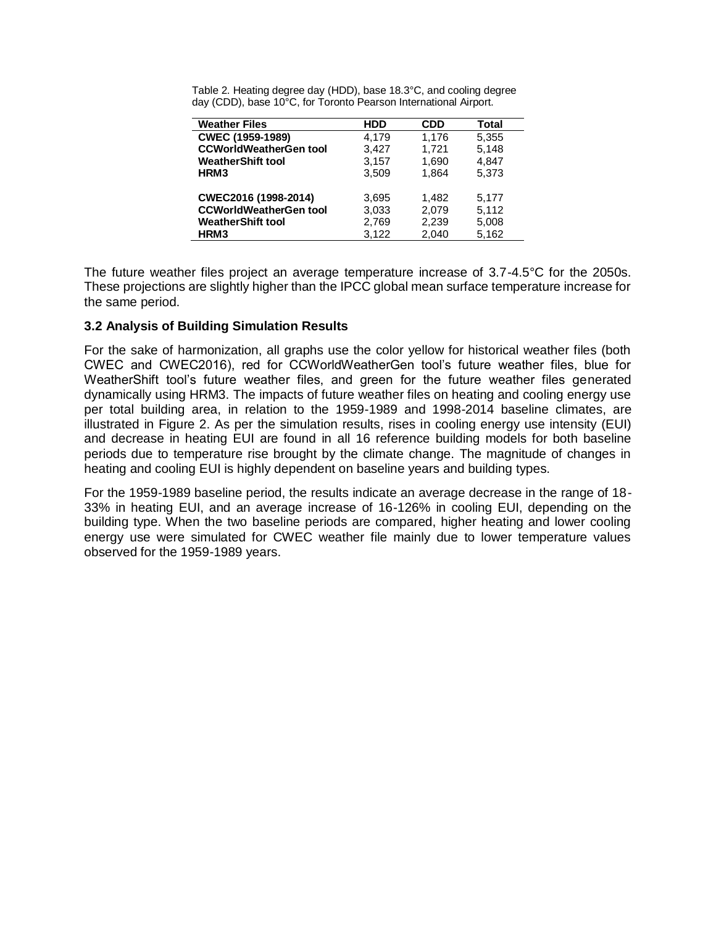| <b>Weather Files</b>          | <b>HDD</b> | <b>CDD</b> | Total |
|-------------------------------|------------|------------|-------|
| <b>CWEC (1959-1989)</b>       | 4.179      | 1,176      | 5,355 |
| <b>CCWorldWeatherGen tool</b> | 3.427      | 1,721      | 5.148 |
| <b>WeatherShift tool</b>      | 3,157      | 1,690      | 4.847 |
| HRM <sub>3</sub>              | 3.509      | 1.864      | 5.373 |
|                               |            |            |       |
| CWEC2016 (1998-2014)          | 3,695      | 1,482      | 5,177 |
| <b>CCWorldWeatherGen tool</b> | 3,033      | 2,079      | 5,112 |
| <b>WeatherShift tool</b>      | 2,769      | 2,239      | 5,008 |
| HRM3                          | 3.122      | 2.040      | 5.162 |

Table 2. Heating degree day (HDD), base 18.3°C, and cooling degree day (CDD), base 10°C, for Toronto Pearson International Airport.

The future weather files project an average temperature increase of 3.7-4.5°C for the 2050s. These projections are slightly higher than the IPCC global mean surface temperature increase for the same period.

### **3.2 Analysis of Building Simulation Results**

For the sake of harmonization, all graphs use the color yellow for historical weather files (both CWEC and CWEC2016), red for CCWorldWeatherGen tool's future weather files, blue for WeatherShift tool's future weather files, and green for the future weather files generated dynamically using HRM3. The impacts of future weather files on heating and cooling energy use per total building area, in relation to the 1959-1989 and 1998-2014 baseline climates, are illustrated in Figure 2. As per the simulation results, rises in cooling energy use intensity (EUI) and decrease in heating EUI are found in all 16 reference building models for both baseline periods due to temperature rise brought by the climate change. The magnitude of changes in heating and cooling EUI is highly dependent on baseline years and building types.

For the 1959-1989 baseline period, the results indicate an average decrease in the range of 18- 33% in heating EUI, and an average increase of 16-126% in cooling EUI, depending on the building type. When the two baseline periods are compared, higher heating and lower cooling energy use were simulated for CWEC weather file mainly due to lower temperature values observed for the 1959-1989 years.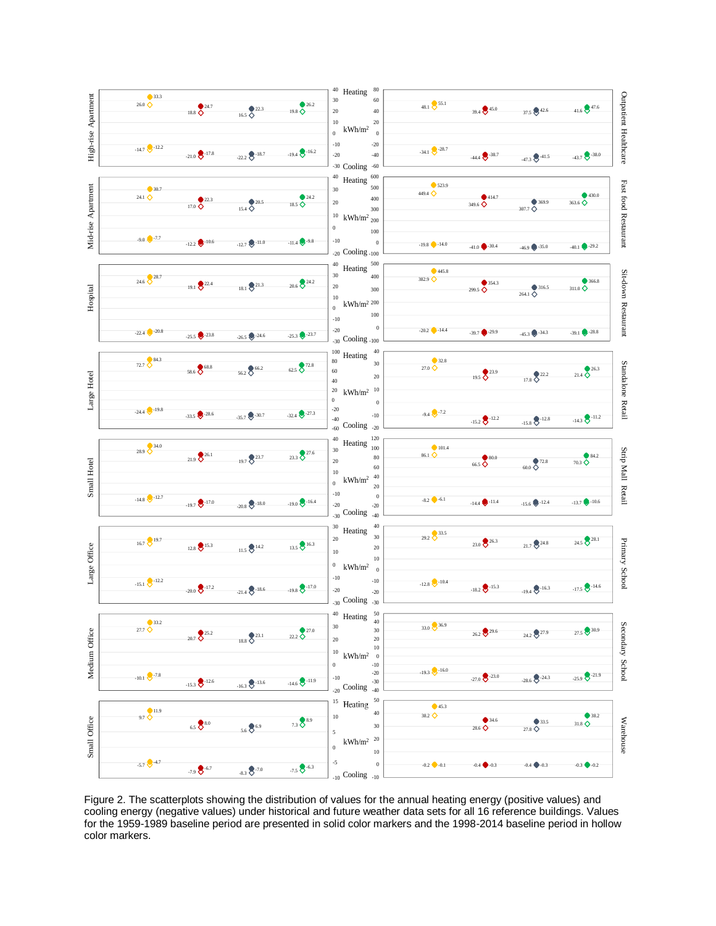

Figure 2. The scatterplots showing the distribution of values for the annual heating energy (positive values) and cooling energy (negative values) under historical and future weather data sets for all 16 reference buildings. Values for the 1959-1989 baseline period are presented in solid color markers and the 1998-2014 baseline period in hollow color markers.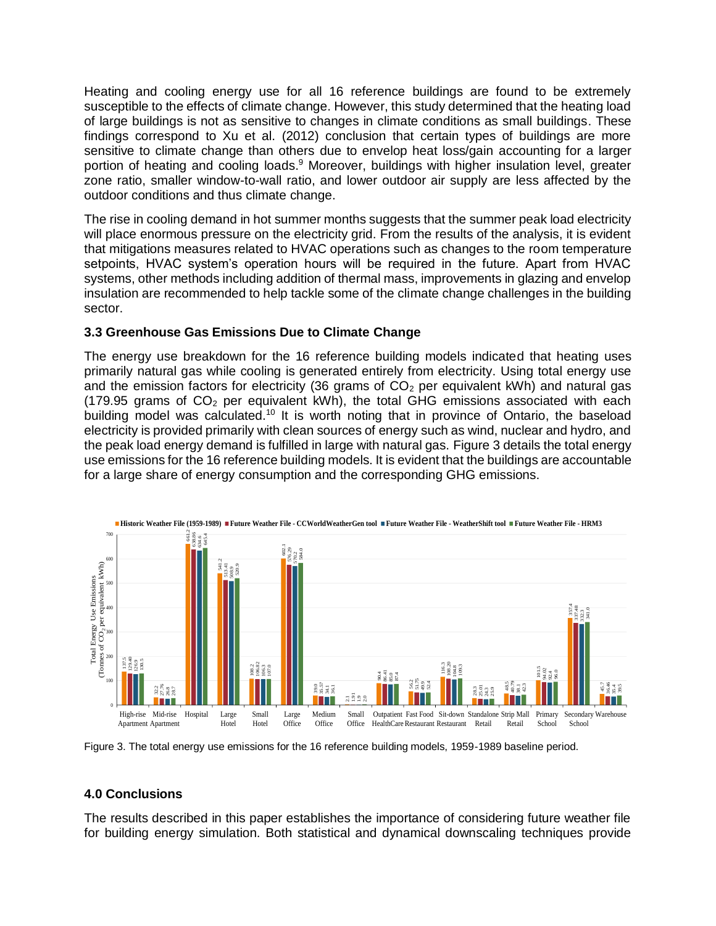Heating and cooling energy use for all 16 reference buildings are found to be extremely susceptible to the effects of climate change. However, this study determined that the heating load of large buildings is not as sensitive to changes in climate conditions as small buildings. These findings correspond to Xu et al. (2012) conclusion that certain types of buildings are more sensitive to climate change than others due to envelop heat loss/gain accounting for a larger portion of heating and cooling loads.<sup>9</sup> Moreover, buildings with higher insulation level, greater zone ratio, smaller window-to-wall ratio, and lower outdoor air supply are less affected by the outdoor conditions and thus climate change.

The rise in cooling demand in hot summer months suggests that the summer peak load electricity will place enormous pressure on the electricity grid. From the results of the analysis, it is evident that mitigations measures related to HVAC operations such as changes to the room temperature setpoints, HVAC system's operation hours will be required in the future. Apart from HVAC systems, other methods including addition of thermal mass, improvements in glazing and envelop insulation are recommended to help tackle some of the climate change challenges in the building sector.

# **3.3 Greenhouse Gas Emissions Due to Climate Change**

The energy use breakdown for the 16 reference building models indicated that heating uses primarily natural gas while cooling is generated entirely from electricity. Using total energy use and the emission factors for electricity (36 grams of  $CO<sub>2</sub>$  per equivalent kWh) and natural gas (179.95 grams of  $CO<sub>2</sub>$  per equivalent kWh), the total GHG emissions associated with each building model was calculated.<sup>10</sup> It is worth noting that in province of Ontario, the baseload electricity is provided primarily with clean sources of energy such as wind, nuclear and hydro, and the peak load energy demand is fulfilled in large with natural gas. Figure 3 details the total energy use emissions for the 16 reference building models. It is evident that the buildings are accountable for a large share of energy consumption and the corresponding GHG emissions.



Figure 3. The total energy use emissions for the 16 reference building models, 1959-1989 baseline period.

# **4.0 Conclusions**

The results described in this paper establishes the importance of considering future weather file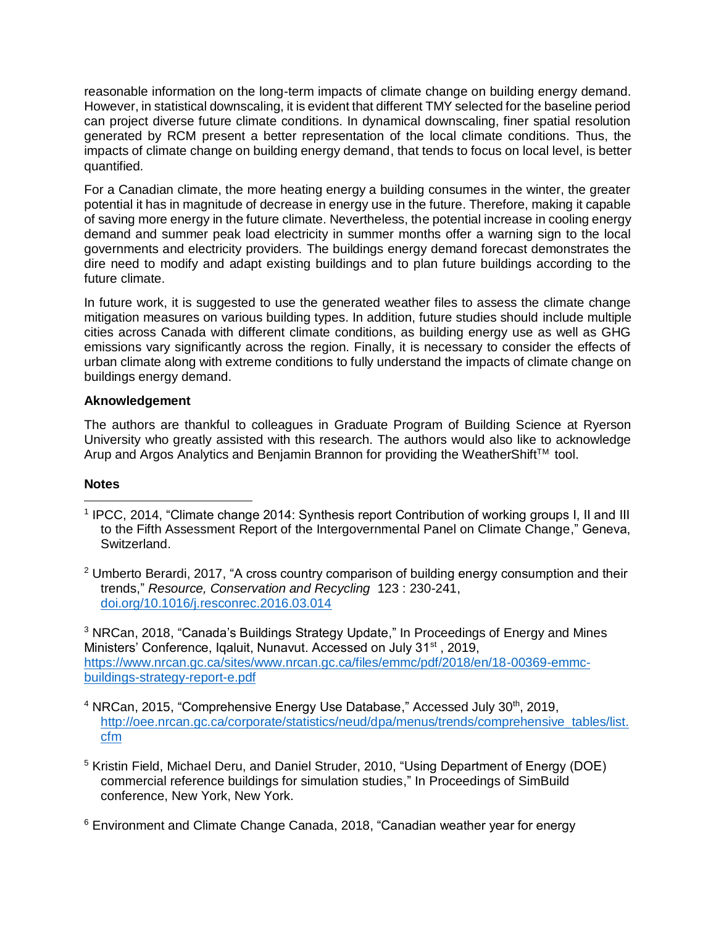reasonable information on the long-term impacts of climate change on building energy demand. However, in statistical downscaling, it is evident that different TMY selected for the baseline period can project diverse future climate conditions. In dynamical downscaling, finer spatial resolution generated by RCM present a better representation of the local climate conditions. Thus, the impacts of climate change on building energy demand, that tends to focus on local level, is better quantified.

For a Canadian climate, the more heating energy a building consumes in the winter, the greater potential it has in magnitude of decrease in energy use in the future. Therefore, making it capable of saving more energy in the future climate. Nevertheless, the potential increase in cooling energy demand and summer peak load electricity in summer months offer a warning sign to the local governments and electricity providers. The buildings energy demand forecast demonstrates the dire need to modify and adapt existing buildings and to plan future buildings according to the future climate.

In future work, it is suggested to use the generated weather files to assess the climate change mitigation measures on various building types. In addition, future studies should include multiple cities across Canada with different climate conditions, as building energy use as well as GHG emissions vary significantly across the region. Finally, it is necessary to consider the effects of urban climate along with extreme conditions to fully understand the impacts of climate change on buildings energy demand.

# **Aknowledgement**

The authors are thankful to colleagues in Graduate Program of Building Science at Ryerson University who greatly assisted with this research. The authors would also like to acknowledge Arup and Argos Analytics and Benjamin Brannon for providing the WeatherShift™ tool.

### **Notes**

- <sup>1</sup> IPCC, 2014, "Climate change 2014: Synthesis report Contribution of working groups I, II and III to the Fifth Assessment Report of the Intergovernmental Panel on Climate Change," Geneva, Switzerland.  $\overline{a}$
- $2$  Umberto Berardi, 2017, "A cross country comparison of building energy consumption and their trends," *Resource, Conservation and Recycling* 123 : 230-241, <doi.org/10.1016/j.resconrec.2016.03.014>

<sup>3</sup> NRCan, 2018, "Canada's Buildings Strategy Update," In Proceedings of Energy and Mines Ministers' Conference, Igaluit, Nunavut. Accessed on July 31<sup>st</sup>, 2019, [https://www.nrcan.gc.ca/sites/www.nrcan.gc.ca/files/emmc/pdf/2018/en/18-00369-emmc](https://www.nrcan.gc.ca/sites/www.nrcan.gc.ca/files/emmc/pdf/2018/en/18-00369-emmc-buildings-strategy-report-e.pdf)[buildings-strategy-report-e.pdf](https://www.nrcan.gc.ca/sites/www.nrcan.gc.ca/files/emmc/pdf/2018/en/18-00369-emmc-buildings-strategy-report-e.pdf)

- $4$  NRCan, 2015, "Comprehensive Energy Use Database," Accessed July 30<sup>th</sup>, 2019, [http://oee.nrcan.gc.ca/corporate/statistics/neud/dpa/menus/trends/comprehensive\\_tables/list.](http://oee.nrcan.gc.ca/corporate/statistics/neud/dpa/menus/trends/comprehensive_tables/list.cfm) [cfm](http://oee.nrcan.gc.ca/corporate/statistics/neud/dpa/menus/trends/comprehensive_tables/list.cfm)
- <sup>5</sup> Kristin Field, Michael Deru, and Daniel Struder, 2010, "Using Department of Energy (DOE) commercial reference buildings for simulation studies," In Proceedings of SimBuild conference, New York, New York.

 $6$  Environment and Climate Change Canada, 2018, "Canadian weather year for energy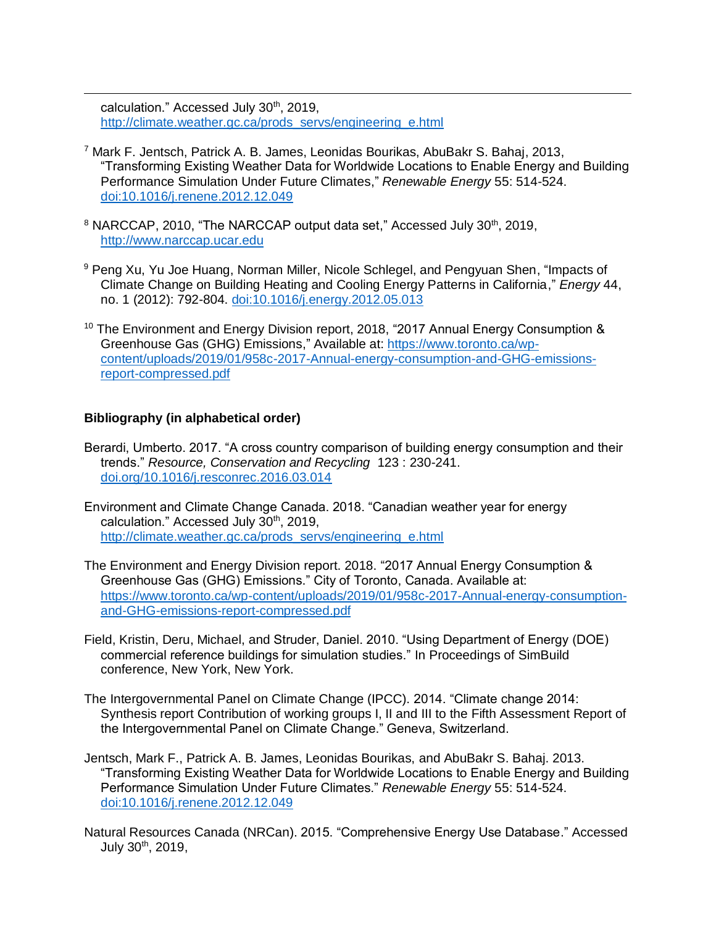calculation." Accessed July 30th, 2019, [http://climate.weather.gc.ca/prods\\_servs/engineering\\_e.html](http://climate.weather.gc.ca/prods_servs/engineering_e.html)

- <sup>7</sup> Mark F. Jentsch, Patrick A. B. James, Leonidas Bourikas, AbuBakr S. Bahaj, 2013, "Transforming Existing Weather Data for Worldwide Locations to Enable Energy and Building Performance Simulation Under Future Climates," *Renewable Energy* 55: 514-524. <doi:10.1016/j.renene.2012.12.049>
- <sup>8</sup> NARCCAP, 2010, "The NARCCAP output data set," Accessed July 30<sup>th</sup>, 2019, [http://www.narccap.ucar.edu](http://www.narccap.ucar.edu/)
- <sup>9</sup> Peng Xu, Yu Joe Huang, Norman Miller, Nicole Schlegel, and Pengyuan Shen, "Impacts of Climate Change on Building Heating and Cooling Energy Patterns in California," *Energy* 44, no. 1 (2012): 792-804.<doi:10.1016/j.energy.2012.05.013>
- <sup>10</sup> The Environment and Energy Division report, 2018, "2017 Annual Energy Consumption  $\&$ Greenhouse Gas (GHG) Emissions," Available at: [https://www.toronto.ca/wp](https://www.toronto.ca/wp-content/uploads/2019/01/958c-2017-Annual-energy-consumption-and-GHG-emissions-report-compressed.pdf)[content/uploads/2019/01/958c-2017-Annual-energy-consumption-and-GHG-emissions](https://www.toronto.ca/wp-content/uploads/2019/01/958c-2017-Annual-energy-consumption-and-GHG-emissions-report-compressed.pdf)[report-compressed.pdf](https://www.toronto.ca/wp-content/uploads/2019/01/958c-2017-Annual-energy-consumption-and-GHG-emissions-report-compressed.pdf)

# **Bibliography (in alphabetical order)**

 $\overline{a}$ 

- Berardi, Umberto. 2017. "A cross country comparison of building energy consumption and their trends." *Resource, Conservation and Recycling* 123 : 230-241. <doi.org/10.1016/j.resconrec.2016.03.014>
- Environment and Climate Change Canada. 2018. "Canadian weather year for energy calculation." Accessed July 30<sup>th</sup>, 2019, [http://climate.weather.gc.ca/prods\\_servs/engineering\\_e.html](http://climate.weather.gc.ca/prods_servs/engineering_e.html)
- The Environment and Energy Division report. 2018. "2017 Annual Energy Consumption & Greenhouse Gas (GHG) Emissions." City of Toronto, Canada. Available at: [https://www.toronto.ca/wp-content/uploads/2019/01/958c-2017-Annual-energy-consumption](https://www.toronto.ca/wp-content/uploads/2019/01/958c-2017-Annual-energy-consumption-and-GHG-emissions-report-compressed.pdf)[and-GHG-emissions-report-compressed.pdf](https://www.toronto.ca/wp-content/uploads/2019/01/958c-2017-Annual-energy-consumption-and-GHG-emissions-report-compressed.pdf)
- Field, Kristin, Deru, Michael, and Struder, Daniel. 2010. "Using Department of Energy (DOE) commercial reference buildings for simulation studies." In Proceedings of SimBuild conference, New York, New York.
- The Intergovernmental Panel on Climate Change (IPCC). 2014. "Climate change 2014: Synthesis report Contribution of working groups I, II and III to the Fifth Assessment Report of the Intergovernmental Panel on Climate Change." Geneva, Switzerland.
- Jentsch, Mark F., Patrick A. B. James, Leonidas Bourikas, and AbuBakr S. Bahaj. 2013. "Transforming Existing Weather Data for Worldwide Locations to Enable Energy and Building Performance Simulation Under Future Climates." *Renewable Energy* 55: 514-524. <doi:10.1016/j.renene.2012.12.049>
- Natural Resources Canada (NRCan). 2015. "Comprehensive Energy Use Database." Accessed July  $30^{th}$ , 2019,